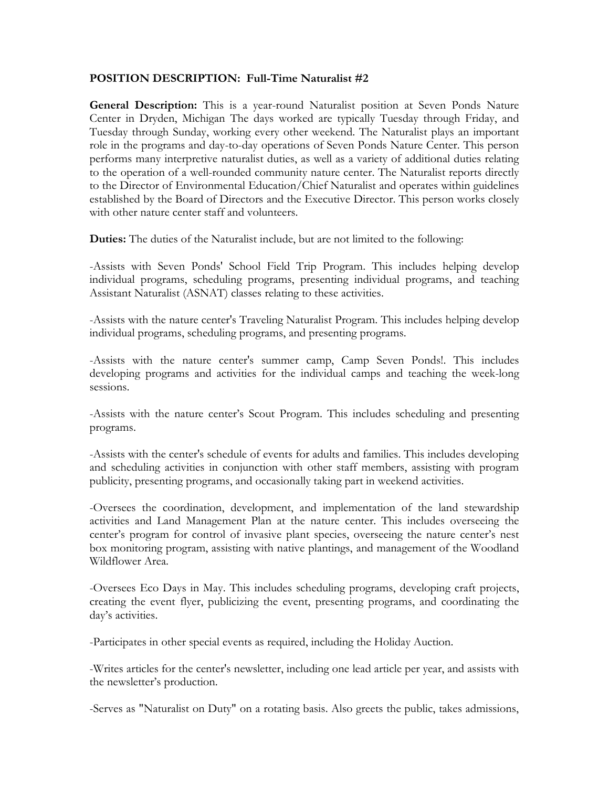## **POSITION DESCRIPTION: Full-Time Naturalist #2**

**General Description:** This is a year-round Naturalist position at Seven Ponds Nature Center in Dryden, Michigan The days worked are typically Tuesday through Friday, and Tuesday through Sunday, working every other weekend. The Naturalist plays an important role in the programs and day-to-day operations of Seven Ponds Nature Center. This person performs many interpretive naturalist duties, as well as a variety of additional duties relating to the operation of a well-rounded community nature center. The Naturalist reports directly to the Director of Environmental Education/Chief Naturalist and operates within guidelines established by the Board of Directors and the Executive Director. This person works closely with other nature center staff and volunteers.

**Duties:** The duties of the Naturalist include, but are not limited to the following:

-Assists with Seven Ponds' School Field Trip Program. This includes helping develop individual programs, scheduling programs, presenting individual programs, and teaching Assistant Naturalist (ASNAT) classes relating to these activities.

-Assists with the nature center's Traveling Naturalist Program. This includes helping develop individual programs, scheduling programs, and presenting programs.

-Assists with the nature center's summer camp, Camp Seven Ponds!. This includes developing programs and activities for the individual camps and teaching the week-long sessions.

-Assists with the nature center's Scout Program. This includes scheduling and presenting programs.

-Assists with the center's schedule of events for adults and families. This includes developing and scheduling activities in conjunction with other staff members, assisting with program publicity, presenting programs, and occasionally taking part in weekend activities.

-Oversees the coordination, development, and implementation of the land stewardship activities and Land Management Plan at the nature center. This includes overseeing the center's program for control of invasive plant species, overseeing the nature center's nest box monitoring program, assisting with native plantings, and management of the Woodland Wildflower Area.

-Oversees Eco Days in May. This includes scheduling programs, developing craft projects, creating the event flyer, publicizing the event, presenting programs, and coordinating the day's activities.

-Participates in other special events as required, including the Holiday Auction.

-Writes articles for the center's newsletter, including one lead article per year, and assists with the newsletter's production.

-Serves as "Naturalist on Duty" on a rotating basis. Also greets the public, takes admissions,